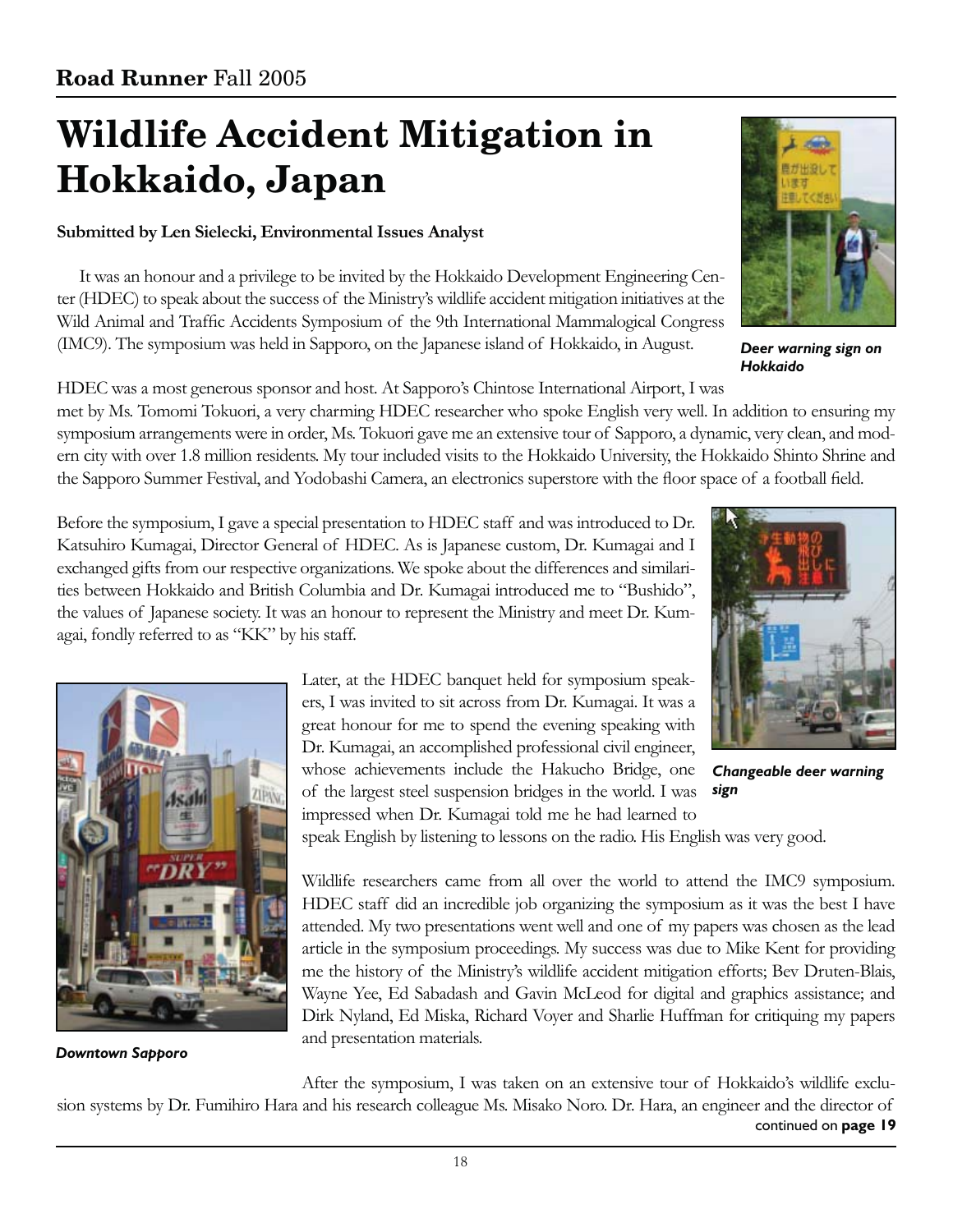# **Wildlife Accident Mitigation in Hokkaido, Japan**

### **Submitted by Len Sielecki, Environmental Issues Analyst**

It was an honour and a privilege to be invited by the Hokkaido Development Engineering Center (HDEC) to speak about the success of the Ministry's wildlife accident mitigation initiatives at the Wild Animal and Traffic Accidents Symposium of the 9th International Mammalogical Congress (IMC9). The symposium was held in Sapporo, on the Japanese island of Hokkaido, in August.

HDEC was a most generous sponsor and host. At Sapporo's Chintose International Airport, I was met by Ms. Tomomi Tokuori, a very charming HDEC researcher who spoke English very well. In addition to ensuring my symposium arrangements were in order, Ms. Tokuori gave me an extensive tour of Sapporo, a dynamic, very clean, and modern city with over 1.8 million residents. My tour included visits to the Hokkaido University, the Hokkaido Shinto Shrine and the Sapporo Summer Festival, and Yodobashi Camera, an electronics superstore with the floor space of a football field.

Before the symposium, I gave a special presentation to HDEC staff and was introduced to Dr. Katsuhiro Kumagai, Director General of HDEC. As is Japanese custom, Dr. Kumagai and I exchanged gifts from our respective organizations. We spoke about the differences and similarities between Hokkaido and British Columbia and Dr. Kumagai introduced me to "Bushido", the values of Japanese society. It was an honour to represent the Ministry and meet Dr. Kumagai, fondly referred to as "KK" by his staff.

> Later, at the HDEC banquet held for symposium speakers, I was invited to sit across from Dr. Kumagai. It was a great honour for me to spend the evening speaking with Dr. Kumagai, an accomplished professional civil engineer, whose achievements include the Hakucho Bridge, one of the largest steel suspension bridges in the world. I was impressed when Dr. Kumagai told me he had learned to

speak English by listening to lessons on the radio. His English was very good.

Wildlife researchers came from all over the world to attend the IMC9 symposium. HDEC staff did an incredible job organizing the symposium as it was the best I have attended. My two presentations went well and one of my papers was chosen as the lead article in the symposium proceedings. My success was due to Mike Kent for providing me the history of the Ministry's wildlife accident mitigation efforts; Bev Druten-Blais, Wayne Yee, Ed Sabadash and Gavin McLeod for digital and graphics assistance; and Dirk Nyland, Ed Miska, Richard Voyer and Sharlie Huffman for critiquing my papers and presentation materials.

*Downtown Sapporo*

After the symposium, I was taken on an extensive tour of Hokkaido's wildlife exclusion systems by Dr. Fumihiro Hara and his research colleague Ms. Misako Noro. Dr. Hara, an engineer and the director of



*Changeable deer warning* 

*sign*